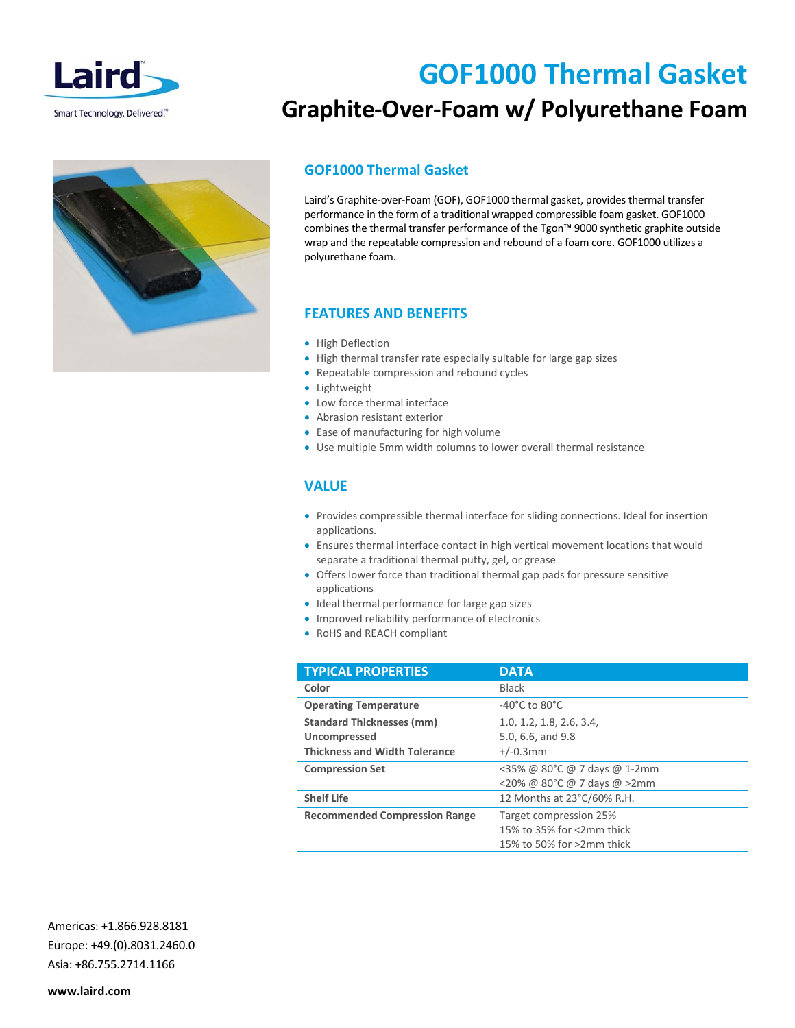

# **GOF1000 Thermal Gasket**

## **Graphite‐Over‐Foam w/ Polyurethane Foam**

#### **GOF1000 Thermal Gasket**

Laird's Graphite‐over‐Foam (GOF), GOF1000 thermal gasket, provides thermal transfer performance in the form of a traditional wrapped compressible foam gasket. GOF1000 combines the thermal transfer performance of the Tgon™ 9000 synthetic graphite outside wrap and the repeatable compression and rebound of a foam core. GOF1000 utilizes a polyurethane foam.

### **FEATURES AND BENEFITS**

- High Deflection
- High thermal transfer rate especially suitable for large gap sizes
- Repeatable compression and rebound cycles
- Lightweight
- Low force thermal interface
- Abrasion resistant exterior
- Ease of manufacturing for high volume
- Use multiple 5mm width columns to lower overall thermal resistance

#### **VALUE**

- Provides compressible thermal interface for sliding connections. Ideal for insertion applications.
- Ensures thermal interface contact in high vertical movement locations that would separate a traditional thermal putty, gel, or grease
- Offers lower force than traditional thermal gap pads for pressure sensitive applications
- Ideal thermal performance for large gap sizes
- Improved reliability performance of electronics
- RoHS and REACH compliant

| <b>TYPICAL PROPERTIES</b>            | <b>DATA</b>                         |
|--------------------------------------|-------------------------------------|
| Color                                | <b>Black</b>                        |
| <b>Operating Temperature</b>         | -40 $^{\circ}$ C to 80 $^{\circ}$ C |
| <b>Standard Thicknesses (mm)</b>     | 1.0, 1.2, 1.8, 2.6, 3.4,            |
| Uncompressed                         | 5.0, 6.6, and 9.8                   |
| <b>Thickness and Width Tolerance</b> | $+/-0.3$ mm                         |
| <b>Compression Set</b>               | <35% @ 80°C @ 7 days @ 1-2mm        |
|                                      | <20% @ 80°C @ 7 days @ >2mm         |
| <b>Shelf Life</b>                    | 12 Months at 23°C/60% R.H.          |
| <b>Recommended Compression Range</b> | Target compression 25%              |
|                                      | 15% to 35% for <2mm thick           |
|                                      | 15% to 50% for >2mm thick           |

Americas: +1.866.928.8181 Europe: +49.(0).8031.2460.0 Asia: +86.755.2714.1166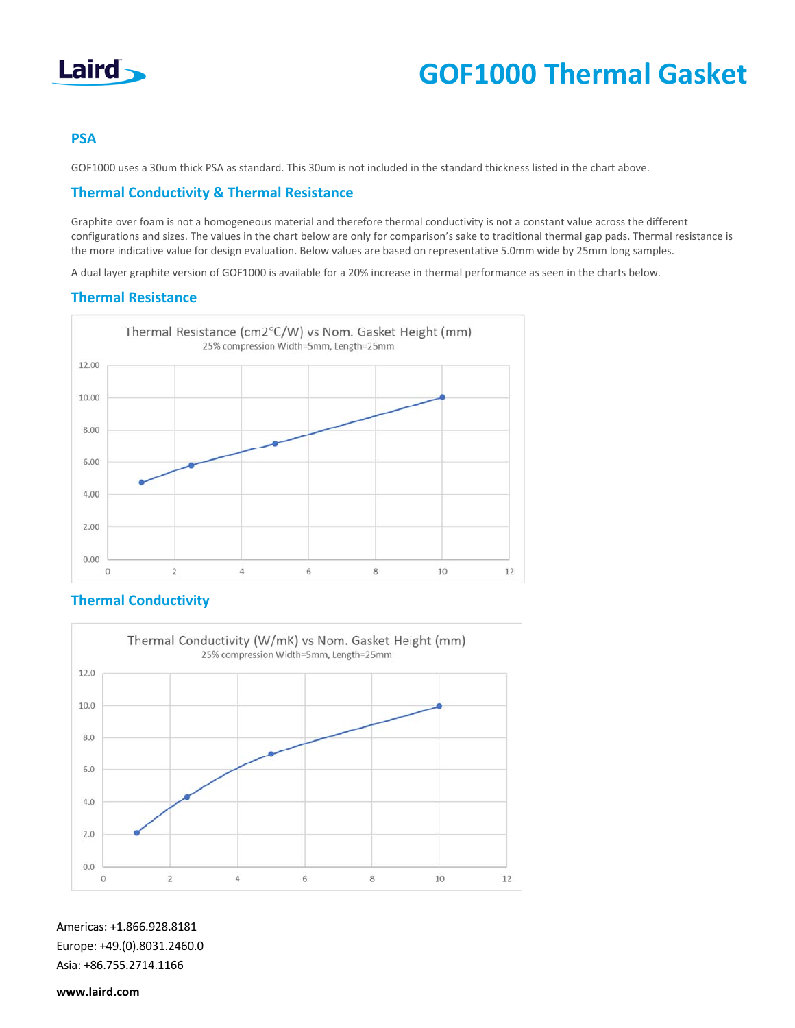

# **GOF1000 Thermal Gasket**

#### **PSA**

GOF1000 uses a 30um thick PSA as standard. This 30um is not included in the standard thickness listed in the chart above.

#### **Thermal Conductivity & Thermal Resistance**

Graphite over foam is not a homogeneous material and therefore thermal conductivity is not a constant value across the different configurations and sizes. The values in the chart below are only for comparison's sake to traditional thermal gap pads. Thermal resistance is the more indicative value for design evaluation. Below values are based on representative 5.0mm wide by 25mm long samples.

A dual layer graphite version of GOF1000 is available for a 20% increase in thermal performance as seen in the charts below.

#### **Thermal Resistance**



#### **Thermal Conductivity**



Americas: +1.866.928.8181 Europe: +49.(0).8031.2460.0 Asia: +86.755.2714.1166

**www.laird.com**